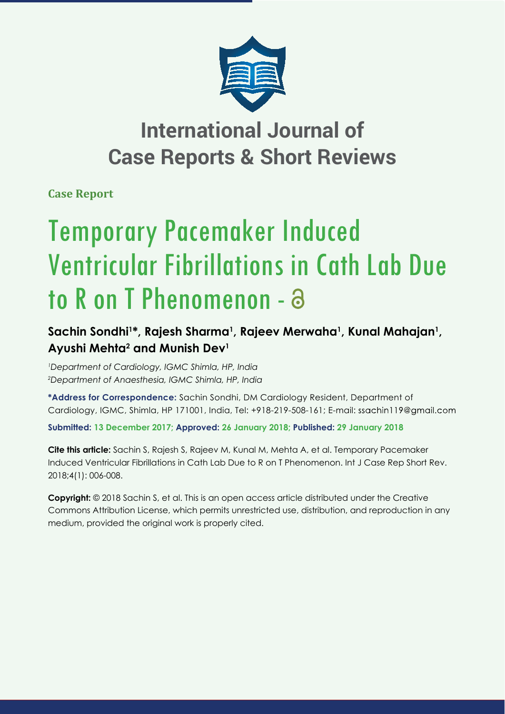

## **International Journal of Case Reports & Short Reviews**

**Case Report**

# Temporary Pacemaker Induced Ventricular Fibrillations in Cath Lab Due to R on T Phenomenon - a

### **Sachin Sondhi1 \*, Rajesh Sharma1 , Rajeev Merwaha1 , Kunal Mahajan1 , Ayushi Mehta2 and Munish Dev1**

*1 Department of Cardiology, IGMC Shimla, HP, India 2 Department of Anaesthesia, IGMC Shimla, HP, India*

**\*Address for Correspondence:** Sachin Sondhi, DM Cardiology Resident, Department of Cardiology, IGMC, Shimla, HP 171001, India, Tel: +918-219-508-161; E-mail: ssachin119@gmail.com

**Submitted: 13 December 2017; Approved: 26 January 2018; Published: 29 January 2018**

**Cite this article:** Sachin S, Rajesh S, Rajeev M, Kunal M, Mehta A, et al. Temporary Pacemaker Induced Ventricular Fibrillations in Cath Lab Due to R on T Phenomenon. Int J Case Rep Short Rev. 2018;4(1): 006-008.

**Copyright:** © 2018 Sachin S, et al. This is an open access article distributed under the Creative Commons Attribution License, which permits unrestricted use, distribution, and reproduction in any medium, provided the original work is properly cited.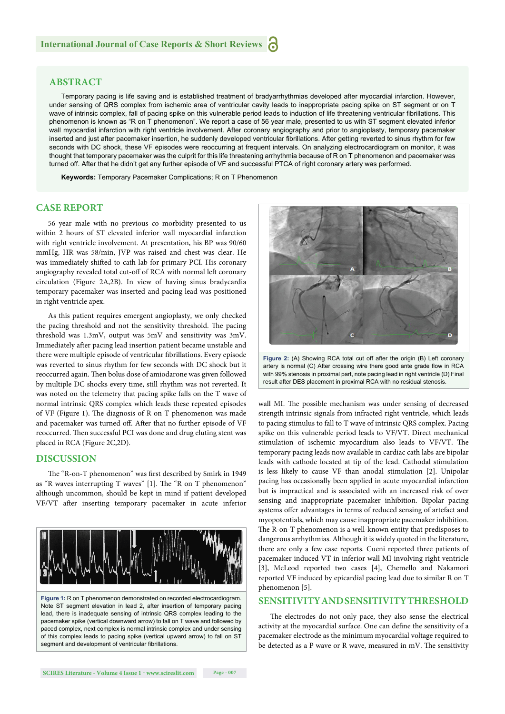#### **ABSTRACT**

Temporary pacing is life saving and is established treatment of bradyarrhythmias developed after myocardial infarction. However, under sensing of QRS complex from ischemic area of ventricular cavity leads to inappropriate pacing spike on ST segment or on T wave of intrinsic complex, fall of pacing spike on this vulnerable period leads to induction of life threatening ventricular fibrillations. This phenomenon is known as "R on T phenomenon". We report a case of 56 year male, presented to us with ST segment elevated inferior wall myocardial infarction with right ventricle involvement. After coronary angiography and prior to angioplasty, temporary pacemaker inserted and just after pacemaker insertion, he suddenly developed ventricular fibrillations. After getting reverted to sinus rhythm for few seconds with DC shock, these VF episodes were reoccurring at frequent intervals. On analyzing electrocardiogram on monitor, it was thought that temporary pacemaker was the culprit for this life threatening arrhythmia because of R on T phenomenon and pacemaker was turned off. After that he didn't get any further episode of VF and successful PTCA of right coronary artery was performed.

**Keywords:** Temporary Pacemaker Complications; R on T Phenomenon

#### **CASE REPORT**

56 year male with no previous co morbidity presented to us within 2 hours of ST elevated inferior wall myocardial infarction with right ventricle involvement. At presentation, his BP was 90/60 mmHg, HR was 58/min, JVP was raised and chest was clear. He was immediately shifted to cath lab for primary PCI. His coronary angiography revealed total cut-off of RCA with normal left coronary circulation (Figure 2A,2B). In view of having sinus bradycardia temporary pacemaker was inserted and pacing lead was positioned in right ventricle apex.

As this patient requires emergent angioplasty, we only checked the pacing threshold and not the sensitivity threshold. The pacing threshold was 1.3mV, output was 5mV and sensitivity was 3mV. Immediately after pacing lead insertion patient became unstable and there were multiple episode of ventricular fibrillations. Every episode was reverted to sinus rhythm for few seconds with DC shock but it reoccurred again. Then bolus dose of amiodarone was given followed by multiple DC shocks every time, still rhythm was not reverted. It was noted on the telemetry that pacing spike falls on the T wave of normal intrinsic QRS complex which leads these repeated episodes of VF (Figure 1). The diagnosis of R on T phenomenon was made and pacemaker was turned off. After that no further episode of VF reoccurred. Then successful PCI was done and drug eluting stent was placed in RCA (Figure 2C,2D).

#### **DISCUSSION**

The "R-on-T phenomenon" was first described by Smirk in 1949 as "R waves interrupting T waves" [1]. The "R on T phenomenon" although uncommon, should be kept in mind if patient developed VF/VT after inserting temporary pacemaker in acute inferior





**Figure 2:** (A) Showing RCA total cut off after the origin (B) Left coronary artery is normal (C) After crossing wire there good ante grade flow in RCA with 99% stenosis in proximal part, note pacing lead in right ventricle (D) Final result after DES placement in proximal RCA with no residual stenosis.

wall MI. The possible mechanism was under sensing of decreased strength intrinsic signals from infracted right ventricle, which leads to pacing stimulus to fall to T wave of intrinsic QRS complex. Pacing spike on this vulnerable period leads to VF/VT. Direct mechanical stimulation of ischemic myocardium also leads to VF/VT. The temporary pacing leads now available in cardiac cath labs are bipolar leads with cathode located at tip of the lead. Cathodal stimulation is less likely to cause VF than anodal stimulation [2]. Unipolar pacing has occasionally been applied in acute myocardial infarction but is impractical and is associated with an increased risk of over sensing and inappropriate pacemaker inhibition. Bipolar pacing systems offer advantages in terms of reduced sensing of artefact and myopotentials, which may cause inappropriate pacemaker inhibition. The R-on-T phenomenon is a well-known entity that predisposes to dangerous arrhythmias. Although it is widely quoted in the literature, there are only a few case reports. Cueni reported three patients of pacemaker induced VT in inferior wall MI involving right ventricle [3], McLeod reported two cases [4], Chemello and Nakamori reported VF induced by epicardial pacing lead due to similar R on T phenomenon [5].

#### **SENSITIVITY AND SENSITIVITY THRESHOLD**

The electrodes do not only pace, they also sense the electrical activity at the myocardial surface. One can define the sensitivity of a pacemaker electrode as the minimum myocardial voltage required to be detected as a P wave or R wave, measured in mV. The sensitivity